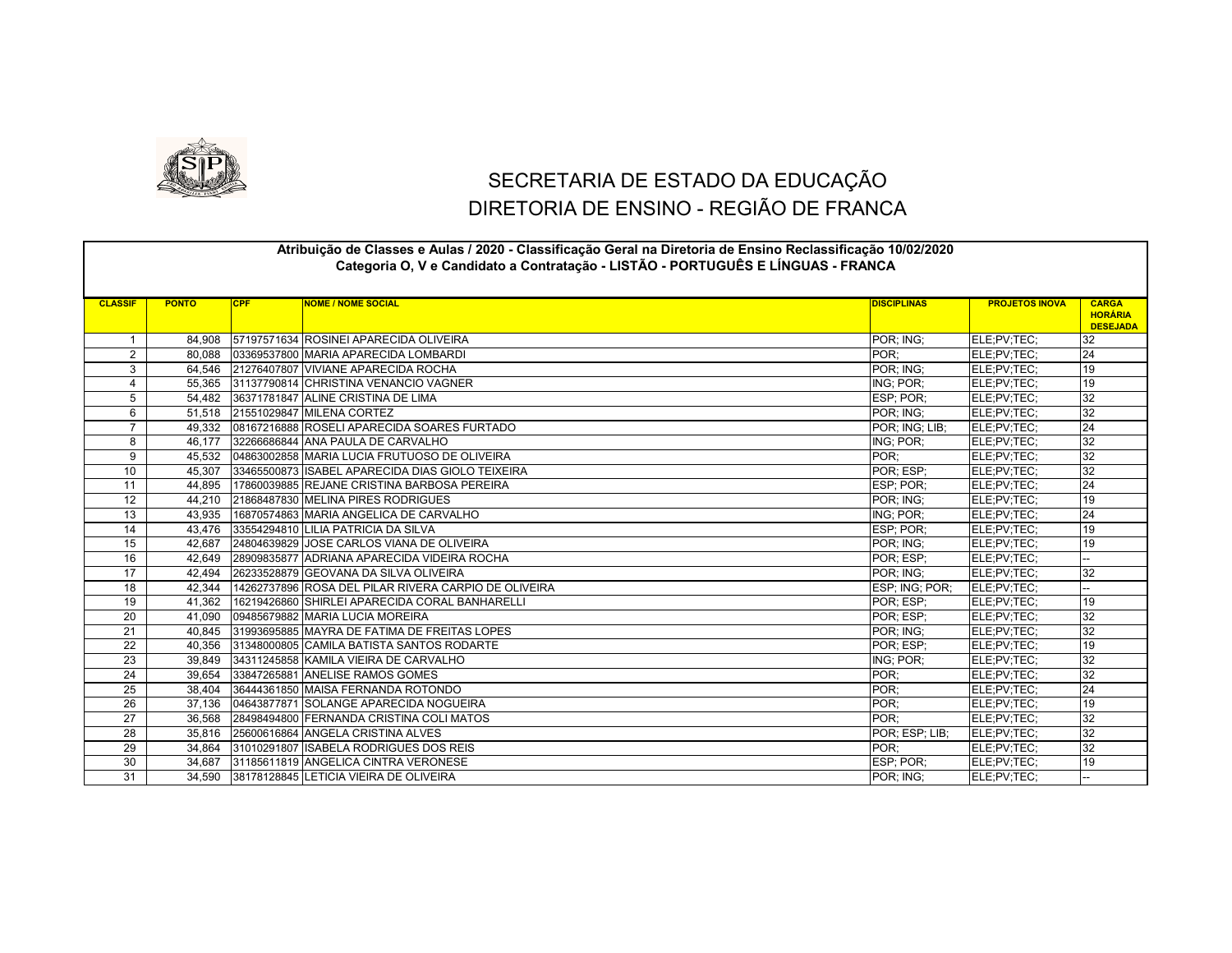

## SECRETARIA DE ESTADO DA EDUCAÇÃO DIRETORIA DE ENSINO - REGIÃO DE FRANCA

|                 | Atribuição de Classes e Aulas / 2020 - Classificação Geral na Diretoria de Ensino Reclassificação 10/02/2020<br>Categoria O, V e Candidato a Contratação - LISTÃO - PORTUGUÊS E LÍNGUAS - FRANCA |            |                                                      |                    |                       |                                                   |  |  |
|-----------------|--------------------------------------------------------------------------------------------------------------------------------------------------------------------------------------------------|------------|------------------------------------------------------|--------------------|-----------------------|---------------------------------------------------|--|--|
| <b>CLASSIF</b>  | <b>PONTO</b>                                                                                                                                                                                     | <b>CPF</b> | <b>NOME / NOME SOCIAL</b>                            | <b>DISCIPLINAS</b> | <b>PROJETOS INOVA</b> | <b>CARGA</b><br><b>HORÁRIA</b><br><b>DESEJADA</b> |  |  |
| $\mathbf{1}$    | 84,908                                                                                                                                                                                           |            | 57197571634 ROSINEI APARECIDA OLIVEIRA               | POR: ING:          | ELE;PV;TEC;           | 32                                                |  |  |
| $\overline{2}$  | 80,088                                                                                                                                                                                           |            | 03369537800 MARIA APARECIDA LOMBARDI                 | POR:               | ELE;PV;TEC;           | 24                                                |  |  |
| 3               | 64,546                                                                                                                                                                                           |            | 21276407807 VIVIANE APARECIDA ROCHA                  | POR; ING;          | ELE;PV;TEC;           | 19                                                |  |  |
| 4               | 55,365                                                                                                                                                                                           |            | 31137790814 CHRISTINA VENANCIO VAGNER                | ING: POR:          | ELE;PV;TEC;           | 19                                                |  |  |
| 5               | 54,482                                                                                                                                                                                           |            | 36371781847 ALINE CRISTINA DE LIMA                   | ESP; POR;          | ELE;PV;TEC;           | 32                                                |  |  |
| 6               | 51,518                                                                                                                                                                                           |            | 21551029847 MILENA CORTEZ                            | POR; ING;          | ELE;PV;TEC;           | 32                                                |  |  |
| $\overline{7}$  | 49.332                                                                                                                                                                                           |            | 08167216888 ROSELI APARECIDA SOARES FURTADO          | POR: ING: LIB:     | ELE;PV;TEC;           | 24                                                |  |  |
| 8               | 46.177                                                                                                                                                                                           |            | 32266686844 ANA PAULA DE CARVALHO                    | ING; POR;          | ELE;PV;TEC;           | 32                                                |  |  |
| 9               | 45.532                                                                                                                                                                                           |            | 04863002858 MARIA LUCIA FRUTUOSO DE OLIVEIRA         | POR:               | ELE;PV;TEC;           | 32                                                |  |  |
| 10              | 45.307                                                                                                                                                                                           |            | 33465500873 ISABEL APARECIDA DIAS GIOLO TEIXEIRA     | POR: ESP:          | ELE;PV;TEC;           | 32                                                |  |  |
| 11              | 44.895                                                                                                                                                                                           |            | 17860039885 REJANE CRISTINA BARBOSA PEREIRA          | ESP; POR;          | ELE;PV;TEC;           | 24                                                |  |  |
| 12              | 44.210                                                                                                                                                                                           |            | 21868487830 MELINA PIRES RODRIGUES                   | POR; ING;          | ELE;PV;TEC;           | 19                                                |  |  |
| 13              | 43,935                                                                                                                                                                                           |            | 16870574863 MARIA ANGELICA DE CARVALHO               | ING: POR:          | ELE;PV;TEC;           | 24                                                |  |  |
| $\overline{14}$ | 43.476                                                                                                                                                                                           |            | 33554294810 LILIA PATRICIA DA SILVA                  | ESP; POR;          | ELE;PV;TEC;           | 19                                                |  |  |
| 15              | 42.687                                                                                                                                                                                           |            | 24804639829 JJOSE CARLOS VIANA DE OLIVEIRA           | POR; ING;          | ELE;PV;TEC;           | 19                                                |  |  |
| 16              | 42.649                                                                                                                                                                                           |            | 28909835877 ADRIANA APARECIDA VIDEIRA ROCHA          | POR: ESP:          | ELE;PV;TEC;           |                                                   |  |  |
| 17              | 42,494                                                                                                                                                                                           |            | 26233528879 GEOVANA DA SILVA OLIVEIRA                | POR; ING;          | ELE;PV;TEC;           | 32                                                |  |  |
| 18              | 42.344                                                                                                                                                                                           |            | 14262737896 ROSA DEL PILAR RIVERA CARPIO DE OLIVEIRA | ESP: ING: POR:     | ELE;PV;TEC;           |                                                   |  |  |
| 19              | 41,362                                                                                                                                                                                           |            | 16219426860 SHIRLEI APARECIDA CORAL BANHARELLI       | POR; ESP;          | ELE;PV;TEC;           | 19                                                |  |  |
| 20              | 41.090                                                                                                                                                                                           |            | 09485679882 MARIA LUCIA MOREIRA                      | POR: ESP:          | ELE;PV;TEC;           | 32                                                |  |  |
| 21              | 40,845                                                                                                                                                                                           |            | 31993695885 MAYRA DE FATIMA DE FREITAS LOPES         | POR; ING;          | ELE;PV;TEC;           | 32                                                |  |  |
| 22              | 40.356                                                                                                                                                                                           |            | 31348000805 CAMILA BATISTA SANTOS RODARTE            | POR: ESP:          | ELE;PV;TEC;           | 19                                                |  |  |
| 23              | 39,849                                                                                                                                                                                           |            | 34311245858 KAMILA VIEIRA DE CARVALHO                | ING; POR;          | ELE;PV;TEC;           | 32                                                |  |  |
| 24              | 39.654                                                                                                                                                                                           |            | 33847265881 ANELISE RAMOS GOMES                      | POR:               | ELE;PV;TEC;           | 32                                                |  |  |
| $\overline{25}$ | 38.404                                                                                                                                                                                           |            | 36444361850 MAISA FERNANDA ROTONDO                   | POR:               | ELE;PV;TEC;           | 24                                                |  |  |
| 26              | 37.136                                                                                                                                                                                           |            | 04643877871 SOLANGE APARECIDA NOGUEIRA               | POR:               | ELE;PV;TEC;           | 19                                                |  |  |
| 27              | 36.568                                                                                                                                                                                           |            | 28498494800 FERNANDA CRISTINA COLI MATOS             | POR:               | ELE;PV;TEC;           | 32                                                |  |  |
| 28              | 35.816                                                                                                                                                                                           |            | 25600616864 ANGELA CRISTINA ALVES                    | POR: ESP: LIB:     | ELE;PV;TEC;           | 32                                                |  |  |
| 29              | 34.864                                                                                                                                                                                           |            | 31010291807 ISABELA RODRIGUES DOS REIS               | POR:               | ELE;PV;TEC;           | 32                                                |  |  |
| 30              | 34.687                                                                                                                                                                                           |            | 31185611819 ANGELICA CINTRA VERONESE                 | ESP; POR;          | ELE;PV;TEC;           | 19                                                |  |  |
| $\overline{31}$ | 34.590                                                                                                                                                                                           |            | 38178128845 LETICIA VIEIRA DE OLIVEIRA               | POR: ING:          | ELE:PV:TEC:           |                                                   |  |  |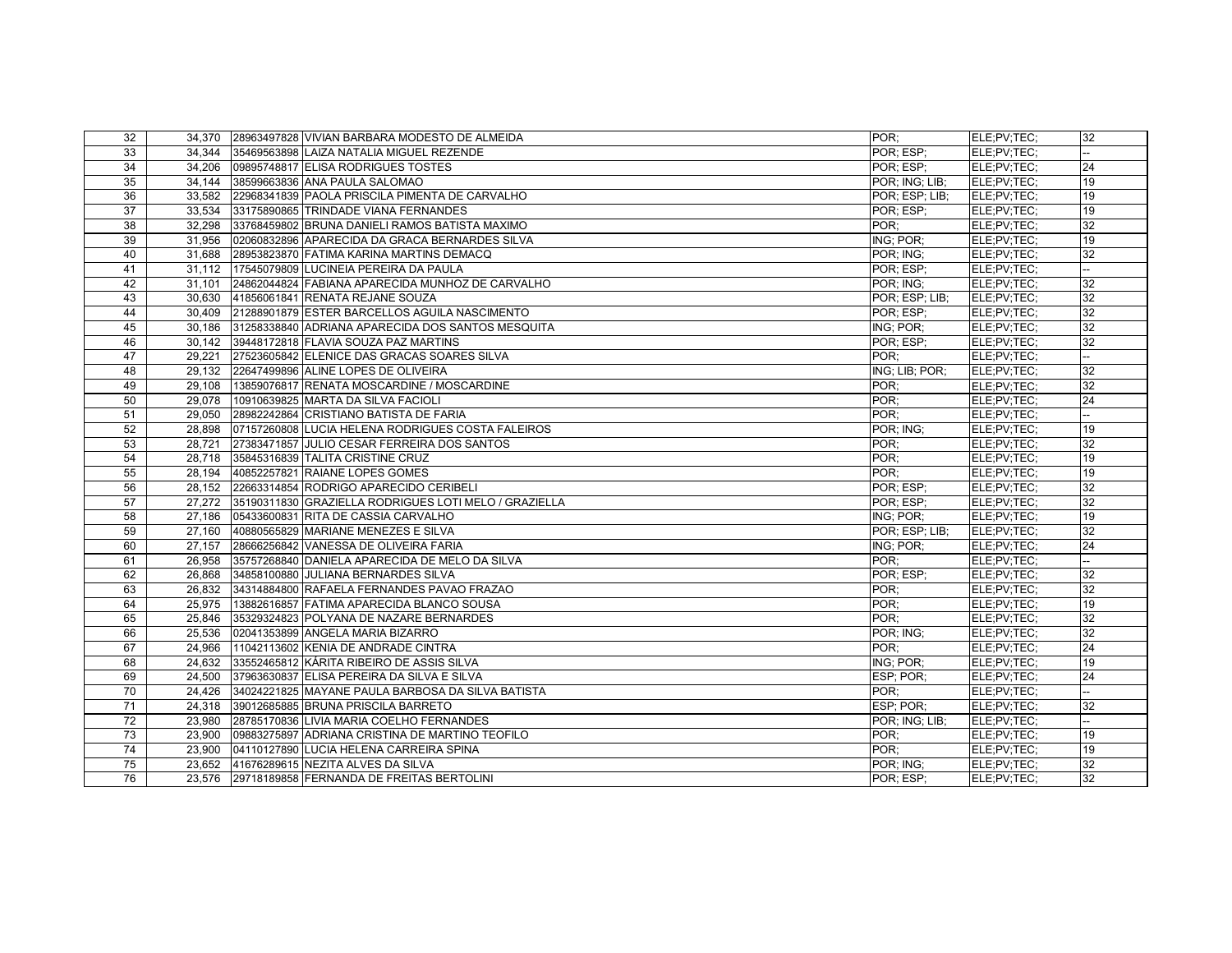| 32              |        | 34,370 28963497828 VIVIAN BARBARA MODESTO DE ALMEIDA  | POR:           | ELE:PV:TEC: | 32              |
|-----------------|--------|-------------------------------------------------------|----------------|-------------|-----------------|
| 33              | 34.344 | 35469563898 LAIZA NATALIA MIGUEL REZENDE              | POR; ESP;      | ELE:PV:TEC: |                 |
| 34              | 34.206 | 09895748817 ELISA RODRIGUES TOSTES                    | POR: ESP:      | ELE:PV:TEC: | 24              |
| 35              | 34,144 | 38599663836 ANA PAULA SALOMAO                         | POR: ING: LIB: | ELE:PV:TEC: | 19              |
| 36              | 33.582 | 22968341839 PAOLA PRISCILA PIMENTA DE CARVALHO        | POR: ESP; LIB; | ELE;PV;TEC; | 19              |
| 37              |        | 33,534 33175890865 TRINDADE VIANA FERNANDES           | POR; ESP;      | ELE:PV:TEC: | 19              |
| 38              | 32,298 | 33768459802 BRUNA DANIELI RAMOS BATISTA MAXIMO        | POR:           | ELE;PV;TEC; | 32              |
| 39              | 31.956 | 02060832896 APARECIDA DA GRACA BERNARDES SILVA        | ING; POR:      | ELE:PV:TEC: | 19              |
| 40              | 31,688 | 28953823870 FATIMA KARINA MARTINS DEMACQ              | POR; ING;      | ELE;PV;TEC; | 32              |
| 41              |        | 31,112 17545079809 LUCINEIA PEREIRA DA PAULA          | POR: ESP:      | ELE:PV:TEC: |                 |
| 42              | 31.101 | 24862044824 FABIANA APARECIDA MUNHOZ DE CARVALHO      | POR; ING;      | ELE:PV:TEC: | $\overline{32}$ |
| 43              |        | 30,630 41856061841 RENATA REJANE SOUZA                | POR; ESP; LIB; | ELE:PV:TEC: | 32              |
| 44              | 30.409 | 21288901879 ESTER BARCELLOS AGUILA NASCIMENTO         | POR: ESP:      | ELE:PV:TEC: | 32              |
| 45              | 30.186 | 31258338840 ADRIANA APARECIDA DOS SANTOS MESQUITA     | ING; POR;      | ELE:PV:TEC: | $\overline{32}$ |
| 46              |        | 30,142 39448172818 FLAVIA SOUZA PAZ MARTINS           | POR; ESP;      | ELE:PV:TEC: | 32              |
| 47              | 29.221 | 27523605842 ELENICE DAS GRACAS SOARES SILVA           | POR:           | ELE:PV:TEC: |                 |
| 48              | 29.132 | 22647499896 ALINE LOPES DE OLIVEIRA                   | ING: LIB: POR: | ELE:PV:TEC: | 32              |
| 49              | 29,108 | 13859076817 RENATA MOSCARDINE / MOSCARDINE            | POR:           | ELE;PV;TEC; | 32              |
| 50              | 29,078 | 10910639825 MARTA DA SILVA FACIOLI                    | POR:           | ELE;PV;TEC; | $\overline{24}$ |
| 51              | 29.050 | 28982242864 CRISTIANO BATISTA DE FARIA                | POR:           | ELE:PV:TEC: |                 |
| 52              | 28,898 | 07157260808 LUCIA HELENA RODRIGUES COSTA FALEIROS     | POR: ING:      | ELE;PV;TEC; | 19              |
| 53              |        | 28,721 27383471857 JULIO CESAR FERREIRA DOS SANTOS    | POR:           | ELE:PV:TEC: | 32              |
| 54              | 28.718 | 35845316839 TALITA CRISTINE CRUZ                      | POR:           | ELE:PV:TEC: | 19              |
| 55              |        | 28,194 40852257821 RAIANE LOPES GOMES                 | POR;           | ELE;PV;TEC; | 19              |
| 56              | 28.152 | 22663314854 RODRIGO APARECIDO CERIBELI                | POR: ESP:      | ELE:PV:TEC: | 32              |
| 57              | 27.272 | 35190311830 GRAZIELLA RODRIGUES LOTI MELO / GRAZIELLA | POR: ESP:      | ELE:PV:TEC: | 32              |
| 58              |        | 27,186 05433600831 RITA DE CASSIA CARVALHO            | ING; POR;      | ELE;PV;TEC; | 19              |
| 59              | 27.160 | 40880565829 MARIANE MENEZES E SILVA                   | POR; ESP; LIB; | ELE:PV:TEC: | 32              |
| 60              | 27,157 | 28666256842 VANESSA DE OLIVEIRA FARIA                 | ING; POR;      | ELE:PV:TEC: | 24              |
| 61              | 26,958 | 35757268840 DANIELA APARECIDA DE MELO DA SILVA        | POR:           | ELE;PV;TEC; | --              |
| 62              | 26.868 | 34858100880 JULIANA BERNARDES SILVA                   | POR: ESP:      | ELE:PV:TEC: | 32              |
| 63              | 26,832 | 34314884800 RAFAELA FERNANDES PAVAO FRAZAO            | POR:           | ELE;PV;TEC; | $\overline{32}$ |
| 64              | 25,975 | 13882616857 FATIMA APARECIDA BLANCO SOUSA             | POR:           | ELE;PV;TEC; | 19              |
| 65              | 25.846 | 35329324823 POLYANA DE NAZARE BERNARDES               | POR:           | ELE:PV:TEC: | 32              |
| 66              | 25,536 | 02041353899 ANGELA MARIA BIZARRO                      | POR: ING:      | ELE;PV;TEC; | 32              |
| 67              | 24,966 | 11042113602 KENIA DE ANDRADE CINTRA                   | POR:           | ELE:PV:TEC: | 24              |
| 68              |        | 24,632 33552465812 KÁRITA RIBEIRO DE ASSIS SILVA      | ING; POR;      | ELE:PV:TEC: | 19              |
| 69              | 24,500 | 37963630837 ELISA PEREIRA DA SILVA E SILVA            | ESP; POR;      | ELE;PV;TEC; | 24              |
| 70              | 24,426 | 34024221825 MAYANE PAULA BARBOSA DA SILVA BATISTA     | POR:           | ELE;PV;TEC; | ÷.              |
| 71              | 24,318 | 39012685885 BRUNA PRISCILA BARRETO                    | ESP; POR;      | ELE:PV:TEC: | 32              |
| 72              | 23,980 | 28785170836 LIVIA MARIA COELHO FERNANDES              | POR: ING: LIB: | ELE:PV:TEC: |                 |
| 73              | 23,900 | 09883275897 ADRIANA CRISTINA DE MARTINO TEOFILO       | POR:           | ELE;PV;TEC; | 19              |
| $\overline{74}$ | 23,900 | 04110127890 LUCIA HELENA CARREIRA SPINA               | POR:           | ELE:PV:TEC: | 19              |
| 75              | 23,652 | 41676289615 NEZITA ALVES DA SILVA                     | POR: ING:      | ELE;PV;TEC; | 32              |
| 76              |        | 23,576 29718189858 FERNANDA DE FREITAS BERTOLINI      | POR: ESP:      | ELE:PV:TEC: | 32              |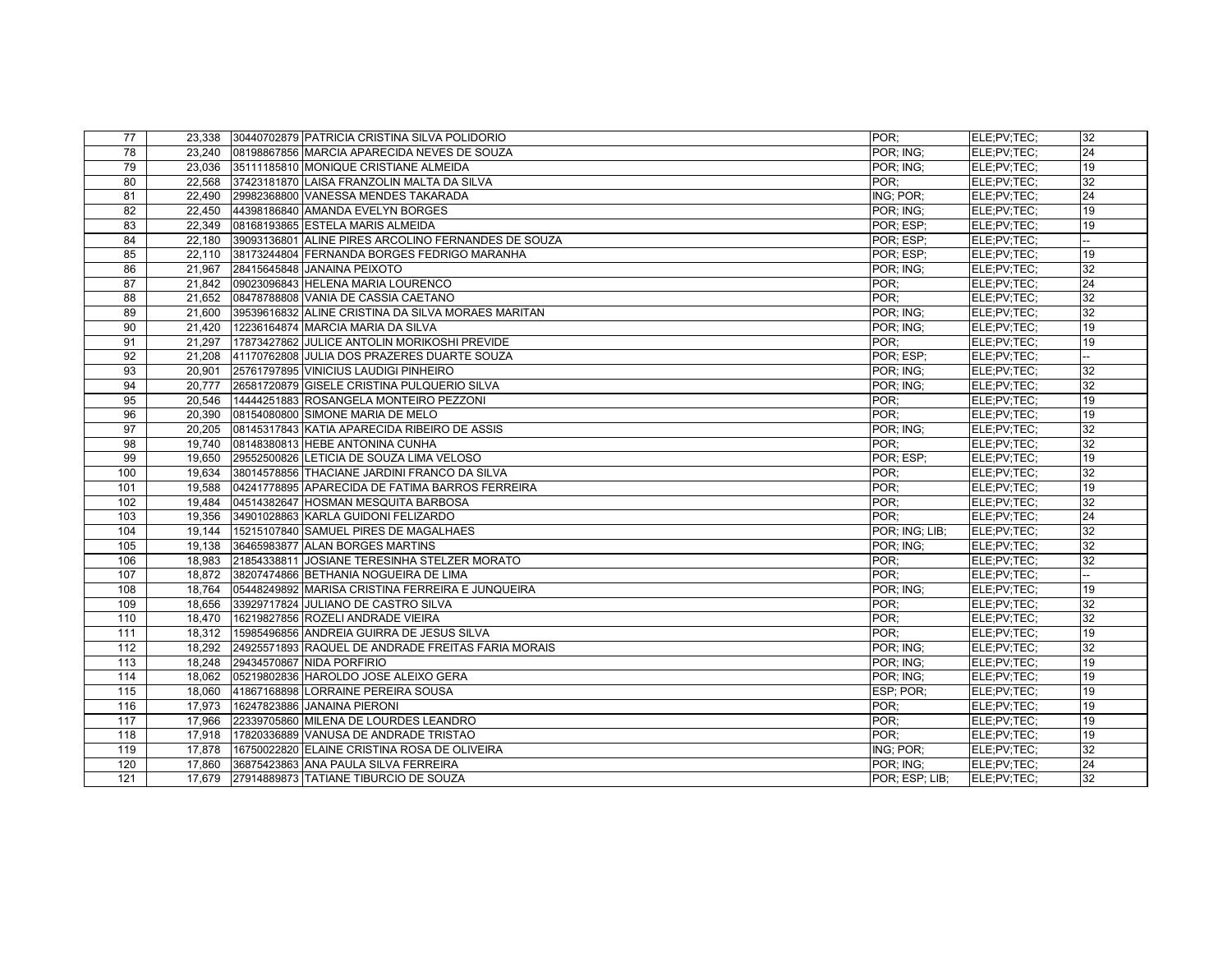| 77  | 23,338 | 30440702879 PATRICIA CRISTINA SILVA POLIDORIO       | POR:           | ELE:PV:TEC: | 32 |
|-----|--------|-----------------------------------------------------|----------------|-------------|----|
| 78  | 23.240 | 08198867856 MARCIA APARECIDA NEVES DE SOUZA         | POR; ING;      | ELE:PV:TEC: | 24 |
| 79  | 23,036 | 35111185810 MONIQUE CRISTIANE ALMEIDA               | POR: ING:      | ELE;PV;TEC; | 19 |
| 80  | 22,568 | 37423181870 LAISA FRANZOLIN MALTA DA SILVA          | POR:           | ELE;PV;TEC; | 32 |
| 81  | 22.490 | 29982368800 VANESSA MENDES TAKARADA                 | ING; POR:      | ELE:PV:TEC: | 24 |
| 82  | 22,450 | 44398186840 AMANDA EVELYN BORGES                    | POR: ING:      | ELE:PV:TEC: | 19 |
| 83  | 22,349 | 08168193865 ESTELA MARIS ALMEIDA                    | POR: ESP:      | ELE:PV:TEC: | 19 |
| 84  | 22.180 | 39093136801 ALINE PIRES ARCOLINO FERNANDES DE SOUZA | POR: ESP:      | ELE:PV:TEC: |    |
| 85  | 22,110 | 38173244804 FERNANDA BORGES FEDRIGO MARANHA         | POR: ESP:      | ELE;PV;TEC; | 19 |
| 86  | 21,967 | 28415645848 JANAINA PEIXOTO                         | POR: ING:      | ELE;PV;TEC; | 32 |
| 87  | 21.842 | 09023096843 HELENA MARIA LOURENCO                   | POR:           | ELE:PV:TEC: | 24 |
| 88  | 21,652 | 08478788808 VANIA DE CASSIA CAETANO                 | POR:           | ELE;PV;TEC; | 32 |
| 89  | 21.600 | 39539616832 ALINE CRISTINA DA SILVA MORAES MARITAN  | POR: ING:      | ELE:PV:TEC: | 32 |
| 90  | 21.420 | 12236164874 MARCIA MARIA DA SILVA                   | POR: ING:      | ELE:PV:TEC: | 19 |
| 91  |        | 21,297 17873427862 JULICE ANTOLIN MORIKOSHI PREVIDE | POR:           | ELE;PV;TEC; | 19 |
| 92  |        | 21,208 41170762808 JULIA DOS PRAZERES DUARTE SOUZA  | POR; ESP;      | ELE:PV:TEC: |    |
| 93  | 20.901 | 25761797895 VINICIUS LAUDIGI PINHEIRO               | POR: ING:      | ELE:PV:TEC: | 32 |
| 94  | 20,777 | 26581720879 GISELE CRISTINA PULQUERIO SILVA         | POR; ING;      | ELE;PV;TEC; | 32 |
| 95  | 20.546 | 14444251883 ROSANGELA MONTEIRO PEZZONI              | POR:           | ELE:PV:TEC: | 19 |
| 96  | 20.390 | 08154080800 SIMONE MARIA DE MELO                    | POR:           | ELE:PV:TEC: | 19 |
| 97  | 20,205 | 08145317843 KATIA APARECIDA RIBEIRO DE ASSIS        | POR; ING;      | ELE;PV;TEC; | 32 |
| 98  |        | 19,740 08148380813 HEBE ANTONINA CUNHA              | POR:           | ELE;PV;TEC; | 32 |
| 99  | 19.650 | 29552500826 LETICIA DE SOUZA LIMA VELOSO            | POR; ESP;      | ELE:PV:TEC: | 19 |
| 100 | 19,634 | 38014578856 THACIANE JARDINI FRANCO DA SILVA        | POR;           | ELE;PV;TEC; | 32 |
| 101 | 19.588 | 04241778895 APARECIDA DE FATIMA BARROS FERREIRA     | POR:           | ELE:PV:TEC: | 19 |
| 102 | 19.484 | 04514382647 HOSMAN MESQUITA BARBOSA                 | POR:           | ELE:PV:TEC: | 32 |
| 103 | 19,356 | 34901028863 KARLA GUIDONI FELIZARDO                 | POR:           | ELE;PV;TEC; | 24 |
| 104 | 19.144 | 15215107840 SAMUEL PIRES DE MAGALHAES               | POR: ING; LIB; | ELE:PV:TEC: | 32 |
| 105 | 19,138 | 36465983877 ALAN BORGES MARTINS                     | POR: ING:      | ELE:PV:TEC: | 32 |
| 106 | 18,983 | 21854338811 JOSIANE TERESINHA STELZER MORATO        | POR:           | ELE;PV;TEC; | 32 |
| 107 | 18,872 | 38207474866 BETHANIA NOGUEIRA DE LIMA               | POR:           | ELE;PV;TEC; |    |
| 108 | 18,764 | 05448249892 MARISA CRISTINA FERREIRA E JUNQUEIRA    | POR; ING;      | ELE;PV;TEC; | 19 |
| 109 | 18,656 | 33929717824 JULIANO DE CASTRO SILVA                 | POR:           | ELE;PV;TEC; | 32 |
| 110 | 18,470 | 16219827856 ROZELI ANDRADE VIEIRA                   | POR:           | ELE;PV;TEC; | 32 |
| 111 | 18,312 | 15985496856 ANDREIA GUIRRA DE JESUS SILVA           | POR:           | ELE;PV;TEC; | 19 |
| 112 | 18,292 | 24925571893 RAQUEL DE ANDRADE FREITAS FARIA MORAIS  | POR; ING;      | ELE;PV;TEC; | 32 |
| 113 | 18.248 | 29434570867 NIDA PORFIRIO                           | POR: ING:      | ELE:PV:TEC: | 19 |
| 114 | 18,062 | 05219802836 HAROLDO JOSE ALEIXO GERA                | POR: ING:      | ELE;PV;TEC; | 19 |
| 115 |        | 18,060 41867168898 LORRAINE PEREIRA SOUSA           | ESP; POR;      | ELE;PV;TEC; | 19 |
| 116 | 17.973 | 16247823886 JANAINA PIERONI                         | POR:           | ELE:PV:TEC: | 19 |
| 117 | 17,966 | 22339705860 MILENA DE LOURDES LEANDRO               | POR:           | ELE;PV;TEC; | 19 |
| 118 | 17,918 | 17820336889 VANUSA DE ANDRADE TRISTAO               | POR:           | ELE;PV;TEC; | 19 |
| 119 | 17,878 | 16750022820 ELAINE CRISTINA ROSA DE OLIVEIRA        | ING; POR:      | ELE:PV:TEC: | 32 |
| 120 | 17,860 | 36875423863 ANA PAULA SILVA FERREIRA                | POR: ING:      | ELE;PV;TEC; | 24 |
| 121 | 17.679 | 27914889873 TATIANE TIBURCIO DE SOUZA               | POR: ESP: LIB: | ELE:PV:TEC: | 32 |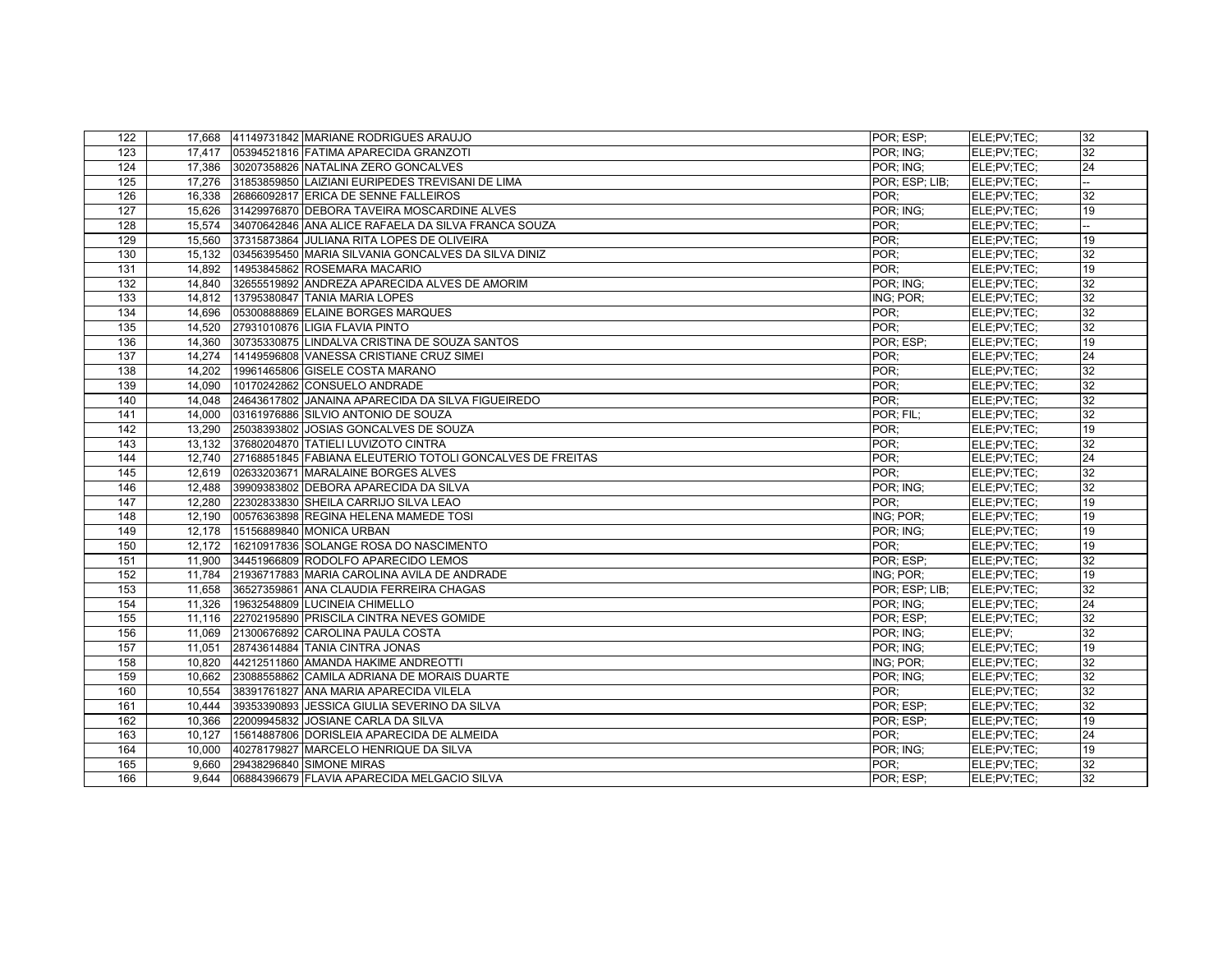| 122 |        | 17,668 41149731842 MARIANE RODRIGUES ARAUJO               | POR: ESP:      | ELE:PV:TEC: | 32 |
|-----|--------|-----------------------------------------------------------|----------------|-------------|----|
| 123 | 17,417 | 05394521816 FATIMA APARECIDA GRANZOTI                     | POR; ING;      | ELE:PV:TEC: | 32 |
| 124 | 17,386 | 30207358826 NATALINA ZERO GONCALVES                       | POR: ING:      | ELE;PV;TEC; | 24 |
| 125 | 17.276 | 31853859850 LAIZIANI EURIPEDES TREVISANI DE LIMA          | POR; ESP; LIB; | ELE:PV:TEC: |    |
| 126 | 16,338 | 26866092817 ERICA DE SENNE FALLEIROS                      | POR:           | ELE;PV;TEC; | 32 |
| 127 | 15,626 | 31429976870 DEBORA TAVEIRA MOSCARDINE ALVES               | POR: ING:      | ELE;PV;TEC; | 19 |
| 128 | 15,574 | 34070642846 ANA ALICE RAFAELA DA SILVA FRANCA SOUZA       | POR:           | ELE:PV:TEC: |    |
| 129 | 15,560 | 37315873864 JULIANA RITA LOPES DE OLIVEIRA                | POR:           | ELE;PV;TEC; | 19 |
| 130 | 15,132 | 03456395450 MARIA SILVANIA GONCALVES DA SILVA DINIZ       | POR:           | ELE;PV;TEC; | 32 |
| 131 | 14,892 | 14953845862 ROSEMARA MACARIO                              | POR:           | ELE;PV;TEC; | 19 |
| 132 | 14,840 | 32655519892 ANDREZA APARECIDA ALVES DE AMORIM             | POR: ING:      | ELE;PV;TEC; | 32 |
| 133 | 14.812 | 13795380847 TANIA MARIA LOPES                             | ING; POR;      | ELE;PV;TEC; | 32 |
| 134 | 14,696 | 05300888869 ELAINE BORGES MARQUES                         | POR:           | ELE;PV;TEC; | 32 |
| 135 | 14,520 | 27931010876 LIGIA FLAVIA PINTO                            | POR:           | ELE;PV;TEC; | 32 |
| 136 | 14.360 | 30735330875 LINDALVA CRISTINA DE SOUZA SANTOS             | POR; ESP;      | ELE:PV:TEC: | 19 |
| 137 |        | 14,274 14149596808 VANESSA CRISTIANE CRUZ SIMEI           | POR:           | ELE:PV:TEC: | 24 |
| 138 | 14,202 | 19961465806 GISELE COSTA MARANO                           | POR:           | ELE;PV;TEC; | 32 |
| 139 | 14,090 | 10170242862 CONSUELO ANDRADE                              | POR:           | ELE;PV;TEC; | 32 |
| 140 | 14,048 | 24643617802 JANAINA APARECIDA DA SILVA FIGUEIREDO         | POR:           | ELE:PV:TEC: | 32 |
| 141 | 14,000 | 03161976886 SILVIO ANTONIO DE SOUZA                       | POR; FIL;      | ELE;PV;TEC; | 32 |
| 142 | 13,290 | 25038393802 JOSIAS GONCALVES DE SOUZA                     | POR:           | ELE;PV;TEC; | 19 |
| 143 | 13,132 | 37680204870 TATIELI LUVIZOTO CINTRA                       | POR:           | ELE;PV;TEC; | 32 |
| 144 | 12,740 | 27168851845 FABIANA ELEUTERIO TOTOLI GONCALVES DE FREITAS | POR:           | ELE;PV;TEC; | 24 |
| 145 | 12,619 | 02633203671 MARALAINE BORGES ALVES                        | POR:           | ELE;PV;TEC; | 32 |
| 146 | 12,488 | 39909383802 DEBORA APARECIDA DA SILVA                     | POR; ING;      | ELE:PV:TEC: | 32 |
| 147 | 12,280 | 22302833830 SHEILA CARRIJO SILVA LEAO                     | POR:           | ELE;PV;TEC; | 19 |
| 148 | 12,190 | 00576363898 REGINA HELENA MAMEDE TOSI                     | ING; POR;      | ELE;PV;TEC; | 19 |
| 149 | 12.178 | 15156889840 MONICA URBAN                                  | POR: ING:      | ELE;PV;TEC; | 19 |
| 150 | 12,172 | 16210917836 SOLANGE ROSA DO NASCIMENTO                    | POR:           | ELE;PV;TEC; | 19 |
| 151 | 11,900 | 34451966809 RODOLFO APARECIDO LEMOS                       | POR: ESP:      | ELE:PV:TEC: | 32 |
| 152 | 11,784 | 21936717883 MARIA CAROLINA AVILA DE ANDRADE               | ING; POR;      | ELE;PV;TEC; | 19 |
| 153 | 11,658 | 36527359861 ANA CLAUDIA FERREIRA CHAGAS                   | POR; ESP; LIB; | ELE:PV:TEC: | 32 |
| 154 | 11,326 | 19632548809 LUCINEIA CHIMELLO                             | POR: ING:      | ELE;PV;TEC; | 24 |
| 155 | 11,116 | 22702195890 PRISCILA CINTRA NEVES GOMIDE                  | POR: ESP:      | ELE:PV:TEC: | 32 |
| 156 | 11,069 | 21300676892 CAROLINA PAULA COSTA                          | POR: ING:      | ELE;PV;     | 32 |
| 157 | 11,051 | 28743614884 TANIA CINTRA JONAS                            | POR: ING:      | ELE:PV:TEC: | 19 |
| 158 | 10.820 | 44212511860 AMANDA HAKIME ANDREOTTI                       | ING; POR;      | ELE;PV;TEC; | 32 |
| 159 | 10.662 | 23088558862 CAMILA ADRIANA DE MORAIS DUARTE               | POR: ING:      | ELE;PV;TEC; | 32 |
| 160 | 10,554 | 38391761827 ANA MARIA APARECIDA VILELA                    | POR;           | ELE;PV;TEC; | 32 |
| 161 | 10.444 | 39353390893 JESSICA GIULIA SEVERINO DA SILVA              | POR: ESP:      | ELE:PV:TEC: | 32 |
| 162 | 10,366 | 22009945832 JOSIANE CARLA DA SILVA                        | POR; ESP;      | ELE:PV:TEC: | 19 |
| 163 | 10,127 | 15614887806 DORISLEIA APARECIDA DE ALMEIDA                | POR:           | ELE;PV;TEC; | 24 |
| 164 | 10.000 | 40278179827 MARCELO HENRIQUE DA SILVA                     | POR: ING:      | ELE;PV;TEC; | 19 |
| 165 | 9,660  | 29438296840 SIMONE MIRAS                                  | POR:           | ELE;PV;TEC; | 32 |
| 166 | 9.644  | 06884396679 FLAVIA APARECIDA MELGACIO SILVA               | POR: ESP:      | ELE;PV;TEC; | 32 |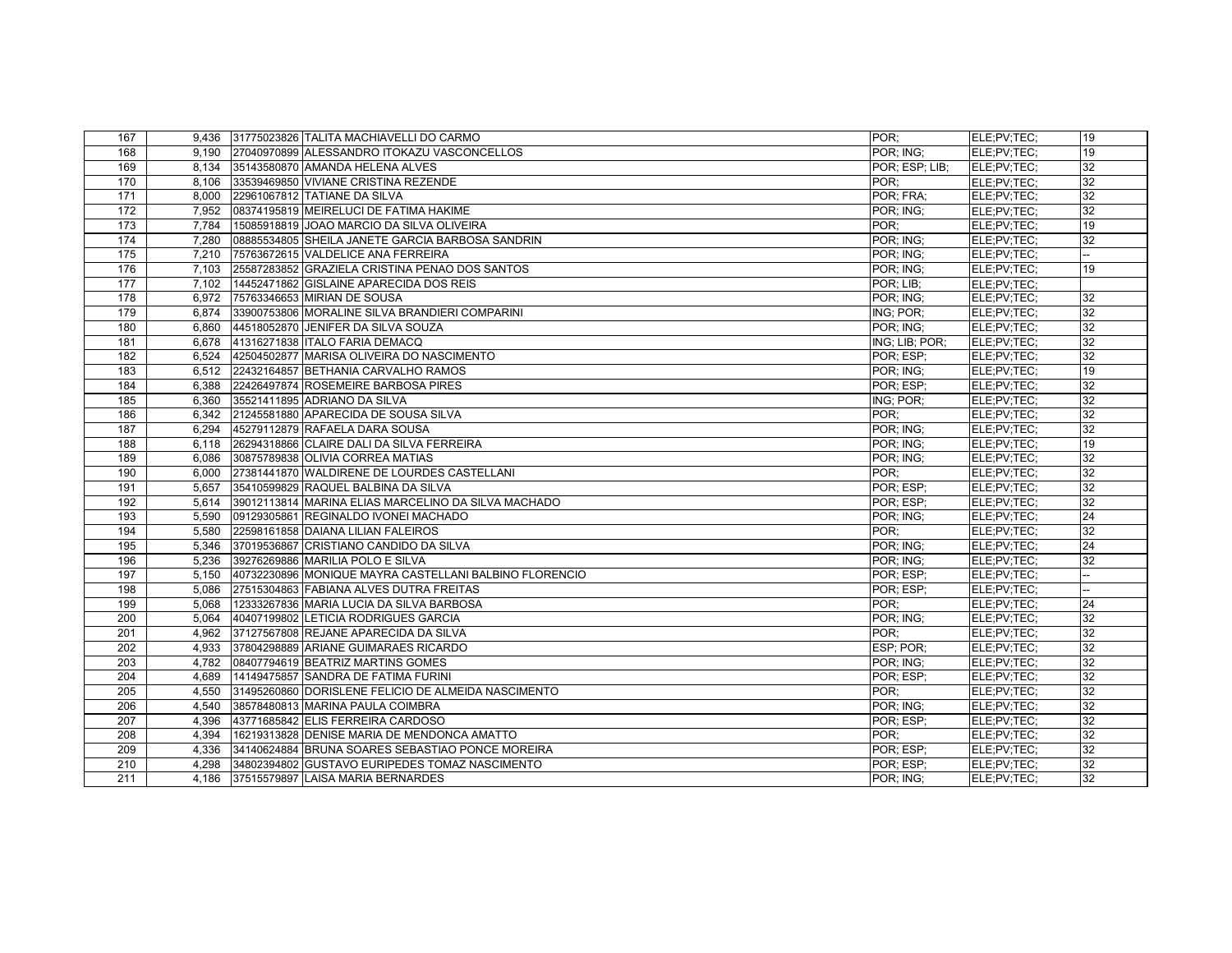| 167              |       | 9,436 31775023826 TALITA MACHIAVELLI DO CARMO          | POR:           | ELE:PV:TEC: | 19              |
|------------------|-------|--------------------------------------------------------|----------------|-------------|-----------------|
| 168              | 9.190 | 27040970899 ALESSANDRO ITOKAZU VASCONCELLOS            | POR; ING;      | ELE:PV:TEC: | 19              |
| 169              |       | 8,134 35143580870 AMANDA HELENA ALVES                  | POR; ESP; LIB; | ELE;PV;TEC; | 32              |
| 170              | 8.106 | 33539469850 VIVIANE CRISTINA REZENDE                   | POR:           | ELE;PV;TEC; | 32              |
| 171              | 8.000 | 22961067812 TATIANE DA SILVA                           | POR; FRA;      | ELE:PV:TEC: | 32              |
| 172              | 7,952 | 08374195819 MEIRELUCI DE FATIMA HAKIME                 | POR; ING;      | ELE;PV;TEC; | 32              |
| 173              | 7,784 | 15085918819 JOAO MARCIO DA SILVA OLIVEIRA              | POR:           | ELE;PV;TEC; | 19              |
| 174              | 7,280 | 08885534805 SHEILA JANETE GARCIA BARBOSA SANDRIN       | POR: ING:      | ELE:PV:TEC: | 32              |
| 175              | 7,210 | 75763672615 VALDELICE ANA FERREIRA                     | POR: ING:      | ELE:PV:TEC: |                 |
| 176              | 7,103 | 25587283852 GRAZIELA CRISTINA PENAO DOS SANTOS         | POR: ING:      | ELE;PV;TEC; | 19              |
| 177              | 7,102 | 14452471862 GISLAINE APARECIDA DOS REIS                | POR; LIB;      | ELE:PV:TEC: |                 |
| 178              | 6.972 | 75763346653 MIRIAN DE SOUSA                            | POR; ING;      | ELE;PV;TEC; | 32              |
| 179              | 6,874 | 33900753806 MORALINE SILVA BRANDIERI COMPARINI         | ING; POR;      | ELE;PV;TEC; | $\overline{32}$ |
| 180              | 6,860 | 44518052870 JENIFER DA SILVA SOUZA                     | POR; ING;      | ELE:PV:TEC: | 32              |
| 181              |       | 6,678 41316271838 ITALO FARIA DEMACQ                   | ING; LIB; POR; | ELE:PV:TEC: | 32              |
| 182              |       | 6,524 42504502877 MARISA OLIVEIRA DO NASCIMENTO        | POR: ESP:      | ELE;PV;TEC; | 32              |
| 183              |       | 6,512 22432164857 BETHANIA CARVALHO RAMOS              | POR; ING;      | ELE:PV:TEC: | 19              |
| 184              | 6.388 | 22426497874 ROSEMEIRE BARBOSA PIRES                    | POR; ESP;      | ELE:PV:TEC: | 32              |
| 185              | 6,360 | 35521411895 ADRIANO DA SILVA                           | ING; POR:      | ELE;PV;TEC; | 32              |
| 186              | 6,342 | 21245581880 APARECIDA DE SOUSA SILVA                   | POR:           | ELE;PV;TEC; | 32              |
| 187              | 6.294 | 45279112879 RAFAELA DARA SOUSA                         | POR; ING;      | ELE:PV:TEC: | 32              |
| 188              | 6,118 | 26294318866 CLAIRE DALI DA SILVA FERREIRA              | POR: ING:      | ELE;PV;TEC; | 19              |
| 189              | 6,086 | 30875789838 OLIVIA CORREA MATIAS                       | POR: ING:      | ELE;PV;TEC; | 32              |
| 190              | 6.000 | 27381441870 WALDIRENE DE LOURDES CASTELLANI            | POR:           | ELE;PV;TEC; | 32              |
| 191              | 5,657 | 35410599829 RAQUEL BALBINA DA SILVA                    | POR: ESP:      | ELE;PV;TEC; | 32              |
| 192              | 5,614 | 39012113814 MARINA ELIAS MARCELINO DA SILVA MACHADO    | POR: ESP:      | ELE;PV;TEC; | 32              |
| 193              | 5.590 | 09129305861 REGINALDO IVONEI MACHADO                   | POR: ING:      | ELE;PV;TEC; | 24              |
| 194              | 5,580 | 22598161858 DAIANA LILIAN FALEIROS                     | POR:           | ELE;PV;TEC; | 32              |
| 195              | 5,346 | 37019536867 CRISTIANO CANDIDO DA SILVA                 | POR; ING;      | ELE;PV;TEC; | 24              |
| 196              | 5.236 | 39276269886 MARILIA POLO E SILVA                       | POR: ING:      | ELE:PV:TEC: | 32              |
| 197              | 5.150 | 40732230896 MONIQUE MAYRA CASTELLANI BALBINO FLORENCIO | POR: ESP:      | ELE:PV:TEC: |                 |
| 198              | 5,086 | 27515304863 FABIANA ALVES DUTRA FREITAS                | POR: ESP:      | ELE;PV;TEC; |                 |
| 199              | 5.068 | 12333267836 MARIA LUCIA DA SILVA BARBOSA               | POR:           | ELE:PV:TEC: | 24              |
| 200              |       | 5.064 40407199802 LETICIA RODRIGUES GARCIA             | POR; ING;      | ELE:PV:TEC: | 32              |
| 201              | 4,962 | 37127567808 REJANE APARECIDA DA SILVA                  | POR:           | ELE;PV;TEC; | 32              |
| 202              | 4.933 | 37804298889 ARIANE GUIMARAES RICARDO                   | ESP; POR;      | ELE:PV:TEC: | 32              |
| $\overline{203}$ | 4.782 | 08407794619 BEATRIZ MARTINS GOMES                      | POR: ING:      | ELE:PV:TEC: | $\overline{32}$ |
| 204              | 4,689 | 14149475857 SANDRA DE FATIMA FURINI                    | POR: ESP:      | ELE;PV;TEC; | 32              |
| 205              | 4.550 | 31495260860 DORISLENE FELICIO DE ALMEIDA NASCIMENTO    | POR:           | ELE;PV;TEC; | 32              |
| 206              | 4.540 | 38578480813 MARINA PAULA COIMBRA                       | POR: ING:      | ELE;PV;TEC; | 32              |
| 207              | 4,396 | 43771685842 ELIS FERREIRA CARDOSO                      | POR: ESP:      | ELE:PV:TEC: | $\overline{32}$ |
| 208              | 4,394 | 16219313828 DENISE MARIA DE MENDONCA AMATTO            | POR:           | ELE;PV;TEC; | 32              |
| 209              | 4.336 | 34140624884 BRUNA SOARES SEBASTIAO PONCE MOREIRA       | POR: ESP:      | ELE:PV:TEC: | 32              |
| 210              | 4.298 | 34802394802 GUSTAVO EURIPEDES TOMAZ NASCIMENTO         | POR: ESP:      | ELE:PV:TEC: | $\overline{32}$ |
| 211              | 4.186 | 37515579897 LAISA MARIA BERNARDES                      | POR: ING:      | ELE;PV;TEC; | 32              |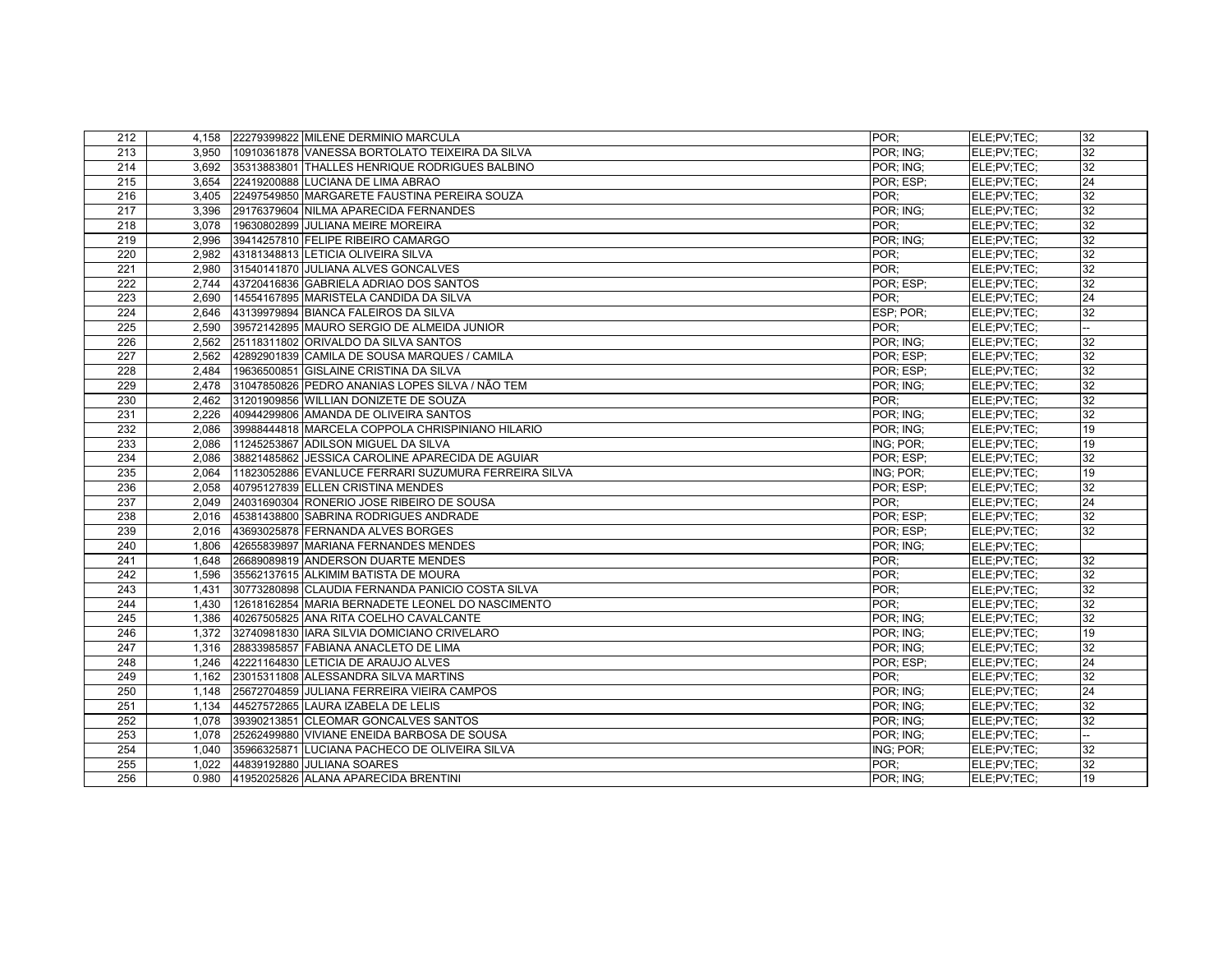| 212              |       | 4,158 22279399822 MILENE DERMINIO MARCULA            | POR:      | ELE:PV:TEC: | 32              |
|------------------|-------|------------------------------------------------------|-----------|-------------|-----------------|
| 213              | 3.950 | 10910361878 VANESSA BORTOLATO TEIXEIRA DA SILVA      | POR; ING; | ELE:PV:TEC: | 32              |
| 214              | 3,692 | 35313883801 THALLES HENRIQUE RODRIGUES BALBINO       | POR; ING; | ELE;PV;TEC; | 32              |
| 215              | 3.654 | 22419200888 LUCIANA DE LIMA ABRAO                    | POR: ESP: | ELE:PV:TEC: | 24              |
| 216              | 3.405 | 22497549850 MARGARETE FAUSTINA PEREIRA SOUZA         | POR:      | ELE:PV:TEC: | 32              |
| 217              | 3,396 | 29176379604 NILMA APARECIDA FERNANDES                | POR; ING; | ELE;PV;TEC; | 32              |
| 218              | 3.078 | 19630802899 JULIANA MEIRE MOREIRA                    | POR:      | ELE:PV:TEC: | 32              |
| 219              | 2,996 | 39414257810 FELIPE RIBEIRO CAMARGO                   | POR: ING: | ELE:PV:TEC: | 32              |
| 220              | 2,982 | 43181348813 LETICIA OLIVEIRA SILVA                   | POR:      | ELE;PV;TEC; | 32              |
| $\overline{221}$ | 2.980 | 31540141870 JULIANA ALVES GONCALVES                  | POR:      | ELE;PV;TEC; | 32              |
| 222              |       | 2,744 43720416836 GABRIELA ADRIAO DOS SANTOS         | POR: ESP: | ELE:PV:TEC: | 32              |
| 223              | 2,690 | 14554167895 MARISTELA CANDIDA DA SILVA               | POR:      | ELE;PV;TEC; | 24              |
| 224              | 2,646 | 43139979894 BIANCA FALEIROS DA SILVA                 | ESP; POR; | ELE:PV:TEC: | 32              |
| 225              | 2,590 | 39572142895 MAURO SERGIO DE ALMEIDA JUNIOR           | POR:      | ELE:PV:TEC: |                 |
| 226              | 2,562 | 25118311802 ORIVALDO DA SILVA SANTOS                 | POR; ING; | ELE;PV;TEC; | 32              |
| 227              | 2,562 | 42892901839 CAMILA DE SOUSA MARQUES / CAMILA         | POR; ESP; | ELE;PV;TEC; | 32              |
| 228              | 2,484 | 19636500851 GISLAINE CRISTINA DA SILVA               | POR: ESP: | ELE;PV;TEC; | 32              |
| 229              | 2,478 | 31047850826 PEDRO ANANIAS LOPES SILVA / NÃO TEM      | POR; ING; | ELE;PV;TEC; | 32              |
| 230              | 2.462 | 31201909856 WILLIAN DONIZETE DE SOUZA                | POR:      | ELE:PV:TEC: | 32              |
| 231              | 2,226 | 40944299806 AMANDA DE OLIVEIRA SANTOS                | POR: ING: | ELE;PV;TEC; | 32              |
| 232              | 2,086 | 39988444818 MARCELA COPPOLA CHRISPINIANO HILARIO     | POR; ING; | ELE;PV;TEC; | 19              |
| 233              | 2,086 | 11245253867 ADILSON MIGUEL DA SILVA                  | ING; POR: | ELE;PV;TEC; | 19              |
| 234              | 2,086 | 38821485862 JESSICA CAROLINE APARECIDA DE AGUIAR     | POR: ESP: | ELE;PV;TEC; | 32              |
| 235              | 2,064 | 11823052886 EVANLUCE FERRARI SUZUMURA FERREIRA SILVA | ING; POR; | ELE;PV;TEC; | 19              |
| 236              | 2,058 | 40795127839 ELLEN CRISTINA MENDES                    | POR; ESP; | ELE:PV:TEC: | 32              |
| 237              | 2,049 | 24031690304 RONERIO JOSE RIBEIRO DE SOUSA            | POR:      | ELE:PV:TEC: | 24              |
| 238              | 2,016 | 45381438800 SABRINA RODRIGUES ANDRADE                | POR: ESP: | ELE;PV;TEC; | 32              |
| 239              | 2,016 | 43693025878 FERNANDA ALVES BORGES                    | POR: ESP: | ELE;PV;TEC; | $\overline{32}$ |
| 240              | 1,806 | 42655839897 MARIANA FERNANDES MENDES                 | POR: ING: | ELE:PV:TEC: |                 |
| 241              | 1.648 | 26689089819 ANDERSON DUARTE MENDES                   | POR:      | ELE;PV;TEC; | 32              |
| 242              | 1,596 | 35562137615 ALKIMIM BATISTA DE MOURA                 | POR:      | ELE;PV;TEC; | 32              |
| 243              | 1,431 | 30773280898 CLAUDIA FERNANDA PANICIO COSTA SILVA     | POR:      | ELE;PV;TEC; | 32              |
| 244              | 1,430 | 12618162854 MARIA BERNADETE LEONEL DO NASCIMENTO     | POR:      | ELE;PV;TEC; | 32              |
| 245              | 1.386 | 40267505825 ANA RITA COELHO CAVALCANTE               | POR: ING: | ELE;PV;TEC; | 32              |
| 246              | 1,372 | 32740981830 IARA SILVIA DOMICIANO CRIVELARO          | POR: ING: | ELE;PV;TEC; | 19              |
| 247              | 1,316 | 28833985857 FABIANA ANACLETO DE LIMA                 | POR; ING; | ELE;PV;TEC; | 32              |
| 248              | 1.246 | 42221164830 LETICIA DE ARAUJO ALVES                  | POR; ESP; | ELE:PV:TEC: | $\overline{24}$ |
| 249              | 1,162 | 23015311808 ALESSANDRA SILVA MARTINS                 | POR:      | ELE;PV;TEC; | 32              |
| 250              | 1,148 | 25672704859 JJULIANA FERREIRA VIEIRA CAMPOS          | POR; ING; | ELE;PV;TEC; | 24              |
| 251              | 1.134 | 44527572865 LAURA IZABELA DE LELIS                   | POR: ING: | ELE;PV;TEC; | 32              |
| 252              | 1,078 | 39390213851 CLEOMAR GONCALVES SANTOS                 | POR: ING: | ELE:PV:TEC: | $\overline{32}$ |
| 253              | 1,078 | 25262499880 VIVIANE ENEIDA BARBOSA DE SOUSA          | POR; ING; | ELE;PV;TEC; | -−              |
| 254              | 1,040 | 35966325871 LUCIANA PACHECO DE OLIVEIRA SILVA        | ING; POR; | ELE:PV:TEC: | 32              |
| 255              | 1,022 | 44839192880 JJULIANA SOARES                          | POR:      | ELE:PV:TEC: | 32              |
| 256              | 0.980 | 41952025826 ALANA APARECIDA BRENTINI                 | POR: ING: | ELE:PV:TEC: | 19              |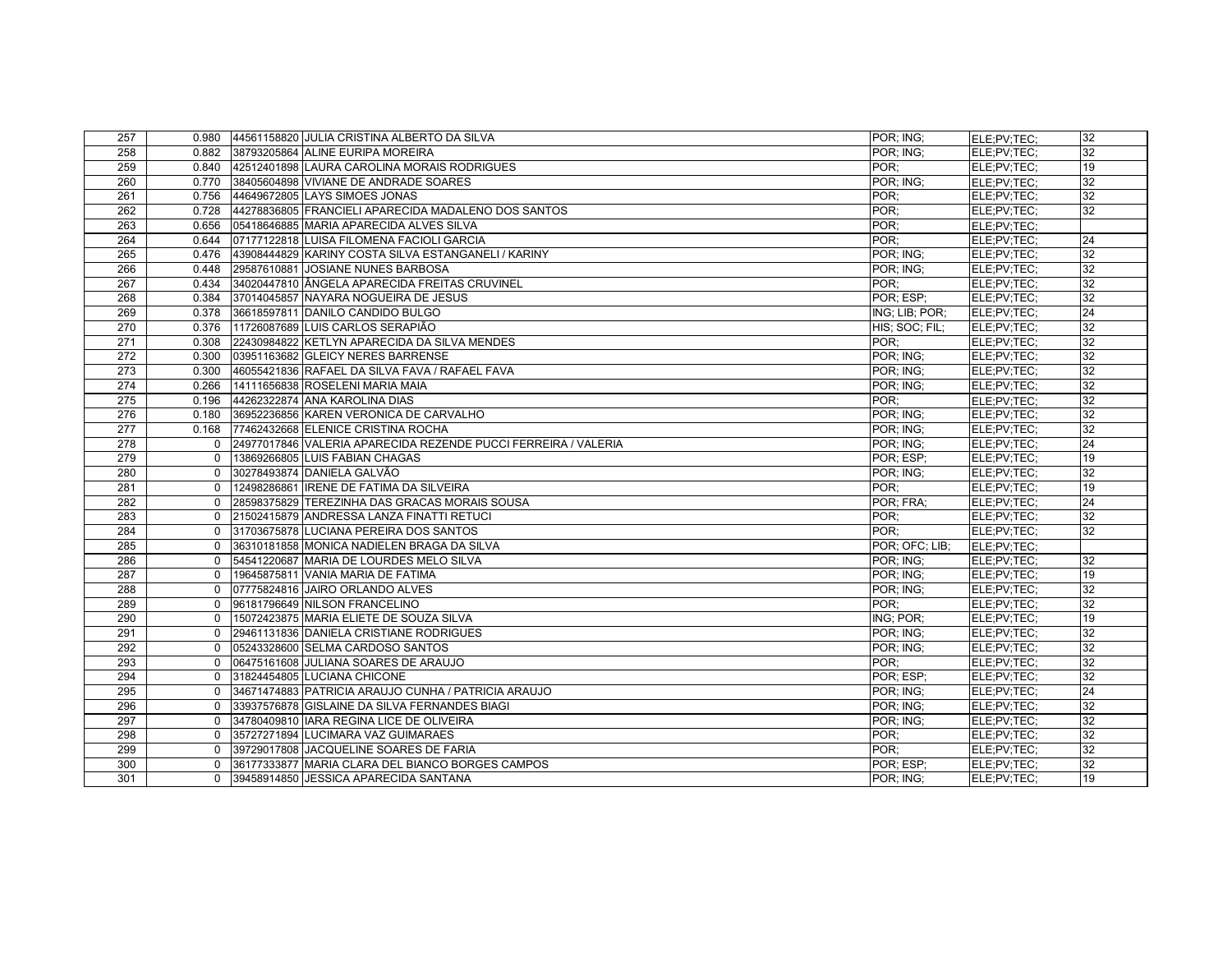| 257 |              | 0.980 44561158820 JULIA CRISTINA ALBERTO DA SILVA              | POR: ING:      | ELE:PV:TEC: | 32 |
|-----|--------------|----------------------------------------------------------------|----------------|-------------|----|
| 258 | 0.882        | 38793205864 ALINE EURIPA MOREIRA                               | POR: ING:      | ELE:PV:TEC: | 32 |
| 259 | 0.840        | 42512401898 LAURA CAROLINA MORAIS RODRIGUES                    | POR:           | ELE;PV;TEC; | 19 |
| 260 |              | 0.770 38405604898 VIVIANE DE ANDRADE SOARES                    | POR; ING;      | ELE:PV:TEC: | 32 |
| 261 | 0.756        | 44649672805 LAYS SIMOES JONAS                                  | POR:           | ELE;PV;TEC; | 32 |
| 262 | 0.728        | 44278836805 FRANCIELI APARECIDA MADALENO DOS SANTOS            | POR:           | ELE;PV;TEC; | 32 |
| 263 | 0.656        | 05418646885 MARIA APARECIDA ALVES SILVA                        | POR:           | ELE:PV:TEC: |    |
| 264 | 0.644        | 07177122818 LUISA FILOMENA FACIOLI GARCIA                      | POR:           | ELE;PV;TEC; | 24 |
| 265 | 0.476        | 43908444829 KARINY COSTA SILVA ESTANGANELI / KARINY            | POR: ING:      | ELE;PV;TEC; | 32 |
| 266 | 0.448        | 29587610881 JOSIANE NUNES BARBOSA                              | POR: ING:      | ELE:PV:TEC: | 32 |
| 267 | 0.434        | 34020447810 ÂNGELA APARECIDA FREITAS CRUVINEL                  | POR:           | ELE:PV:TEC: | 32 |
| 268 | 0.384        | 37014045857 NAYARA NOGUEIRA DE JESUS                           | POR: ESP:      | ELE:PV:TEC: | 32 |
| 269 | 0.378        | 36618597811 DANILO CANDIDO BULGO                               | ING; LIB; POR; | ELE:PV:TEC: | 24 |
| 270 | 0.376        | 11726087689 LUIS CARLOS SERAPIÃO                               | HIS; SOC; FIL; | ELE:PV:TEC: | 32 |
| 271 | 0.308        | 22430984822 KETLYN APARECIDA DA SILVA MENDES                   | POR:           | ELE:PV:TEC: | 32 |
| 272 | 0.300        | 03951163682 GLEICY NERES BARRENSE                              | POR; ING;      | ELE;PV;TEC; | 32 |
| 273 | 0.300        | 46055421836 RAFAEL DA SILVA FAVA / RAFAEL FAVA                 | POR: ING:      | ELE;PV;TEC; | 32 |
| 274 | 0.266        | 14111656838 ROSELENI MARIA MAIA                                | POR: ING:      | ELE:PV:TEC: | 32 |
| 275 | 0.196        | 44262322874 ANA KAROLINA DIAS                                  | POR:           | ELE;PV;TEC; | 32 |
| 276 | 0.180        | 36952236856 KAREN VERONICA DE CARVALHO                         | POR: ING:      | ELE;PV;TEC; | 32 |
| 277 | 0.168        | 77462432668 ELENICE CRISTINA ROCHA                             | POR: ING:      | ELE:PV:TEC: | 32 |
| 278 | $\mathbf{0}$ | 24977017846 VALERIA APARECIDA REZENDE PUCCI FERREIRA / VALERIA | POR; ING;      | ELE:PV:TEC: | 24 |
| 279 | $\Omega$     | 13869266805 LUIS FABIAN CHAGAS                                 | POR: ESP:      | ELE;PV;TEC; | 19 |
| 280 | $\Omega$     | 30278493874 DANIELA GALVÃO                                     | POR: ING:      | ELE:PV:TEC: | 32 |
| 281 | $\mathbf{0}$ | 12498286861 IRENE DE FATIMA DA SILVEIRA                        | POR:           | ELE:PV:TEC: | 19 |
| 282 | $\Omega$     | 28598375829 TEREZINHA DAS GRACAS MORAIS SOUSA                  | POR; FRA;      | ELE;PV;TEC; | 24 |
| 283 | $\Omega$     | 21502415879 ANDRESSA LANZA FINATTI RETUCI                      | POR:           | ELE;PV;TEC; | 32 |
| 284 | $\Omega$     | 31703675878 LUCIANA PEREIRA DOS SANTOS                         | POR:           | ELE;PV;TEC; | 32 |
| 285 | $\Omega$     | 36310181858 MONICA NADIELEN BRAGA DA SILVA                     | POR: OFC: LIB: | ELE;PV;TEC; |    |
| 286 | $\Omega$     | 54541220687 MARIA DE LOURDES MELO SILVA                        | POR: ING:      | ELE;PV;TEC; | 32 |
| 287 | $\Omega$     | 19645875811 VANIA MARIA DE FATIMA                              | POR: ING:      | ELE;PV;TEC; | 19 |
| 288 | $\Omega$     | 07775824816 JAIRO ORLANDO ALVES                                | POR: ING:      | ELE;PV;TEC; | 32 |
| 289 | $\Omega$     | 96181796649 NILSON FRANCELINO                                  | POR:           | ELE:PV:TEC: | 32 |
| 290 | $\Omega$     | 15072423875 MARIA ELIETE DE SOUZA SILVA                        | ING; POR;      | ELE:PV:TEC: | 19 |
| 291 | $\Omega$     | 29461131836 DANIELA CRISTIANE RODRIGUES                        | POR: ING:      | ELE;PV;TEC; | 32 |
| 292 | $\Omega$     | 05243328600 SELMA CARDOSO SANTOS                               | POR: ING:      | ELE:PV:TEC: | 32 |
| 293 | $\Omega$     | 06475161608 JULIANA SOARES DE ARAUJO                           | POR:           | ELE:PV:TEC: | 32 |
| 294 | $\Omega$     | 31824454805 LUCIANA CHICONE                                    | POR; ESP;      | ELE;PV;TEC; | 32 |
| 295 | $\Omega$     | 34671474883 PATRICIA ARAUJO CUNHA / PATRICIA ARAUJO            | POR: ING:      | ELE:PV:TEC: | 24 |
| 296 | $\Omega$     | 33937576878 GISLAINE DA SILVA FERNANDES BIAGI                  | POR: ING:      | ELE:PV:TEC: | 32 |
| 297 | $\Omega$     | 34780409810 IARA REGINA LICE DE OLIVEIRA                       | POR: ING:      | ELE;PV;TEC; | 32 |
| 298 | $\Omega$     | 35727271894 LUCIMARA VAZ GUIMARAES                             | POR:           | ELE;PV;TEC; | 32 |
| 299 | $\Omega$     | 39729017808 JACQUELINE SOARES DE FARIA                         | POR:           | ELE:PV:TEC: | 32 |
| 300 | 0            | 36177333877 MARIA CLARA DEL BIANCO BORGES CAMPOS               | POR; ESP;      | ELE;PV;TEC; | 32 |
| 301 | $\Omega$     | 39458914850 JESSICA APARECIDA SANTANA                          | POR: ING:      | ELE:PV:TEC: | 19 |